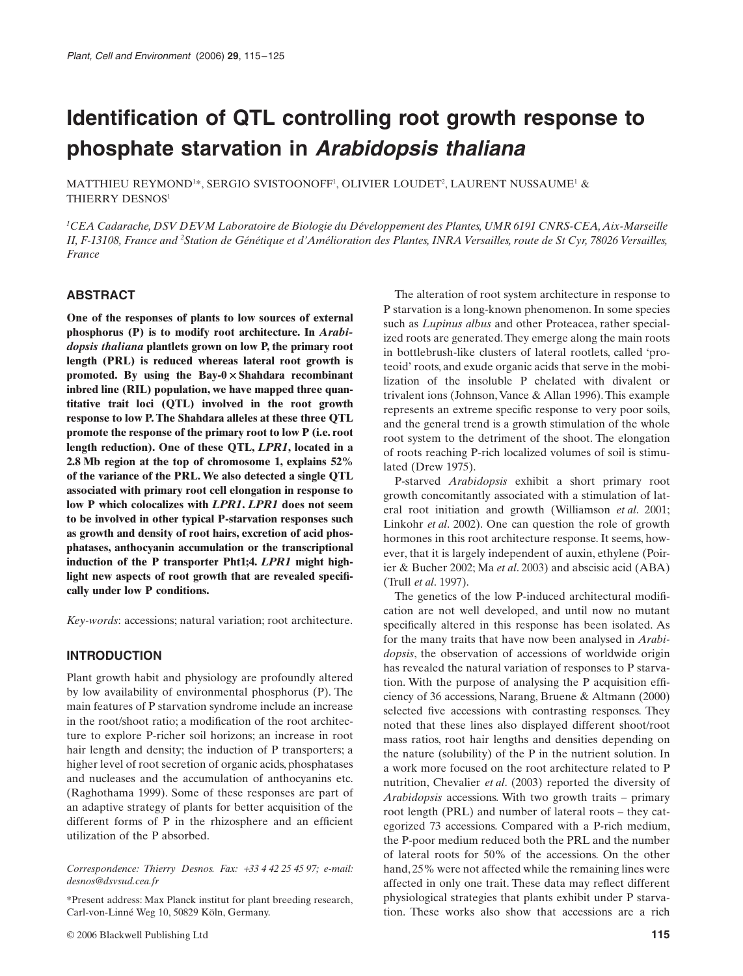# **Identification of QTL controlling root growth response to phosphate starvation in** *Arabidopsis thaliana*

<code>MATTHIEU</code> REYMOND $^{1*}$ , SERGIO SVISTOONOFF $^{1}$ , OLIVIER LOUDET $^{2}$ , LAURENT NUSSAUME $^{1}$  & THIERRY DESNOS<sup>1</sup>

*1 CEA Cadarache, DSV DEVM Laboratoire de Biologie du Développement des Plantes, UMR 6191 CNRS-CEA, Aix-Marseille II, F-13108, France and 2 Station de Génétique et d'Amélioration des Plantes, INRA Versailles, route de St Cyr, 78026 Versailles, France*

#### **ABSTRACT**

**One of the responses of plants to low sources of external phosphorus (P) is to modify root architecture. In** *Arabidopsis thaliana* **plantlets grown on low P, the primary root length (PRL) is reduced whereas lateral root growth is promoted. By using the Bay-0**  × **Shahdara recombinant inbred line (RIL) population, we have mapped three quantitative trait loci (QTL) involved in the root growth response to low P. The Shahdara alleles at these three QTL promote the response of the primary root to low P (i.e. root length reduction). One of these QTL,** *LPR1***, located in a 2.8 Mb region at the top of chromosome 1, explains 52% of the variance of the PRL. We also detected a single QTL associated with primary root cell elongation in response to low P which colocalizes with** *LPR1***.** *LPR1* **does not seem to be involved in other typical P-starvation responses such as growth and density of root hairs, excretion of acid phosphatases, anthocyanin accumulation or the transcriptional induction of the P transporter Pht1;4.** *LPR1* **might highlight new aspects of root growth that are revealed specifically under low P conditions.**

*Key-words*: accessions; natural variation; root architecture.

# **INTRODUCTION**

Plant growth habit and physiology are profoundly altered by low availability of environmental phosphorus (P). The main features of P starvation syndrome include an increase in the root/shoot ratio; a modification of the root architecture to explore P-richer soil horizons; an increase in root hair length and density; the induction of P transporters; a higher level of root secretion of organic acids, phosphatases and nucleases and the accumulation of anthocyanins etc. (Raghothama 1999). Some of these responses are part of an adaptive strategy of plants for better acquisition of the different forms of P in the rhizosphere and an efficient utilization of the P absorbed.

*Correspondence: Thierry Desnos. Fax:* +*33 4 42 25 45 97; e-mail: desnos@dsvsud.cea.fr*

\*Present address: Max Planck institut for plant breeding research, Carl-von-Linné Weg 10, 50829 Köln, Germany.

© 2006 Blackwell Publishing Ltd **115**

The alteration of root system architecture in response to P starvation is a long-known phenomenon. In some species such as *Lupinus albus* and other Proteacea, rather specialized roots are generated. They emerge along the main roots in bottlebrush-like clusters of lateral rootlets, called 'proteoid' roots, and exude organic acids that serve in the mobilization of the insoluble P chelated with divalent or trivalent ions (Johnson, Vance & Allan 1996). This example represents an extreme specific response to very poor soils, and the general trend is a growth stimulation of the whole root system to the detriment of the shoot. The elongation of roots reaching P-rich localized volumes of soil is stimulated (Drew 1975).

P-starved *Arabidopsis* exhibit a short primary root growth concomitantly associated with a stimulation of lateral root initiation and growth (Williamson *et al*. 2001; Linkohr *et al*. 2002). One can question the role of growth hormones in this root architecture response. It seems, however, that it is largely independent of auxin, ethylene (Poirier & Bucher 2002; Ma *et al*. 2003) and abscisic acid (ABA) (Trull *et al*. 1997).

The genetics of the low P-induced architectural modification are not well developed, and until now no mutant specifically altered in this response has been isolated. As for the many traits that have now been analysed in *Arabidopsis*, the observation of accessions of worldwide origin has revealed the natural variation of responses to P starvation. With the purpose of analysing the P acquisition efficiency of 36 accessions, Narang, Bruene & Altmann (2000) selected five accessions with contrasting responses. They noted that these lines also displayed different shoot/root mass ratios, root hair lengths and densities depending on the nature (solubility) of the P in the nutrient solution. In a work more focused on the root architecture related to P nutrition, Chevalier *et al*. (2003) reported the diversity of *Arabidopsis* accessions. With two growth traits – primary root length (PRL) and number of lateral roots – they categorized 73 accessions. Compared with a P-rich medium, the P-poor medium reduced both the PRL and the number of lateral roots for 50% of the accessions. On the other hand, 25% were not affected while the remaining lines were affected in only one trait. These data may reflect different physiological strategies that plants exhibit under P starvation. These works also show that accessions are a rich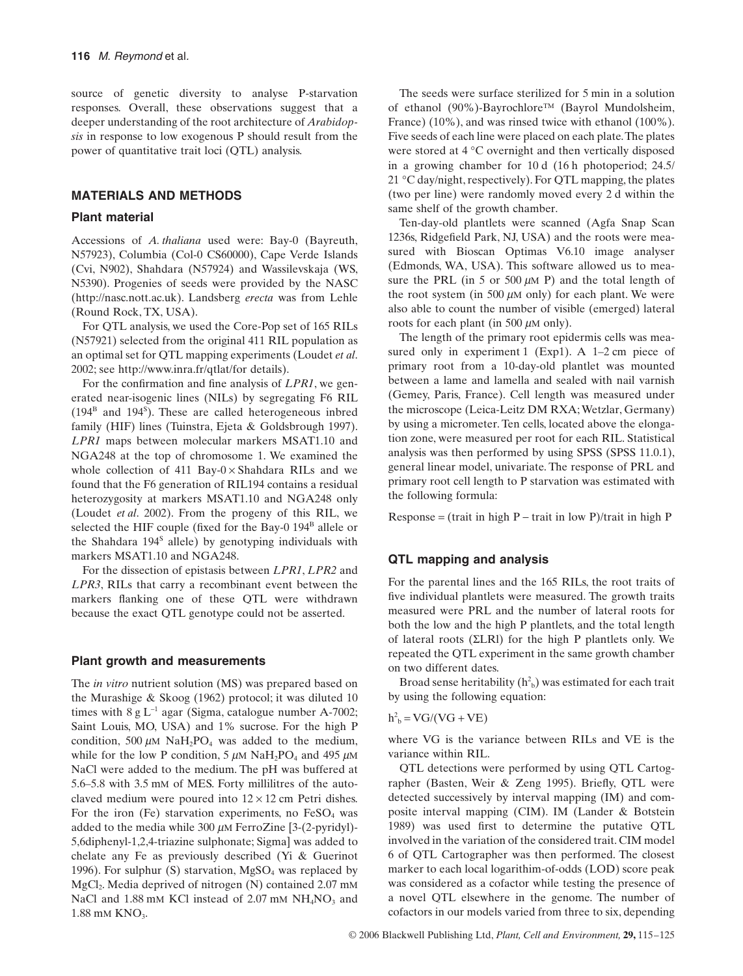source of genetic diversity to analyse P-starvation responses. Overall, these observations suggest that a deeper understanding of the root architecture of *Arabidopsis* in response to low exogenous P should result from the power of quantitative trait loci (QTL) analysis.

# **MATERIALS AND METHODS**

#### **Plant material**

Accessions of *A. thaliana* used were: Bay-0 (Bayreuth, N57923), Columbia (Col-0 CS60000), Cape Verde Islands (Cvi, N902), Shahdara (N57924) and Wassilevskaja (WS, N5390). Progenies of seeds were provided by the NASC (<http://nasc.nott.ac.uk>). Landsberg *erecta* was from Lehle (Round Rock, TX, USA).

For QTL analysis, we used the Core-Pop set of 165 RILs (N57921) selected from the original 411 RIL population as an optimal set for QTL mapping experiments (Loudet *et al*. 2002; see <http://www.inra.fr/qtlat/for>details).

For the confirmation and fine analysis of *LPR1*, we generated near-isogenic lines (NILs) by segregating F6 RIL  $(194<sup>B</sup>$  and  $194<sup>S</sup>)$ . These are called heterogeneous inbred family (HIF) lines (Tuinstra, Ejeta & Goldsbrough 1997). *LPR1* maps between molecular markers MSAT1.10 and NGA248 at the top of chromosome 1. We examined the whole collection of 411 Bay-0 $\times$ Shahdara RILs and we found that the F6 generation of RIL194 contains a residual heterozygosity at markers MSAT1.10 and NGA248 only (Loudet *et al*. 2002). From the progeny of this RIL, we selected the HIF couple (fixed for the Bay-0 194<sup>B</sup> allele or the Shahdara  $194<sup>s</sup>$  allele) by genotyping individuals with markers MSAT1.10 and NGA248.

For the dissection of epistasis between *LPR1*, *LPR2* and *LPR3*, RILs that carry a recombinant event between the markers flanking one of these QTL were withdrawn because the exact QTL genotype could not be asserted.

#### **Plant growth and measurements**

The *in vitro* nutrient solution (MS) was prepared based on the Murashige & Skoog (1962) protocol; it was diluted 10 times with  $8 \text{ g L}^{-1}$  agar (Sigma, catalogue number A-7002; Saint Louis, MO, USA) and 1% sucrose. For the high P condition, 500  $\mu$ M NaH<sub>2</sub>PO<sub>4</sub> was added to the medium, while for the low P condition,  $5 \mu M \text{ NaH}_2\text{PO}_4$  and  $495 \mu M$ NaCl were added to the medium. The pH was buffered at 5.6–5.8 with 3.5 mM of MES. Forty millilitres of the autoclaved medium were poured into  $12 \times 12$  cm Petri dishes. For the iron (Fe) starvation experiments, no  $FeSO<sub>4</sub>$  was added to the media while 300  $\mu$ M FerroZine [3-(2-pyridyl)-5,6diphenyl-1,2,4-triazine sulphonate; Sigma] was added to chelate any Fe as previously described (Yi & Guerinot 1996). For sulphur (S) starvation,  $MgSO<sub>4</sub>$  was replaced by  $MgCl<sub>2</sub>$ . Media deprived of nitrogen (N) contained 2.07 mM NaCl and 1.88 mM KCl instead of  $2.07$  mM NH<sub>4</sub>NO<sub>3</sub> and 1.88 mM KNO<sub>3</sub>.

The seeds were surface sterilized for 5 min in a solution of ethanol (90%)-Bayrochlore™ (Bayrol Mundolsheim, France) (10%), and was rinsed twice with ethanol (100%). Five seeds of each line were placed on each plate. The plates were stored at 4 °C overnight and then vertically disposed in a growing chamber for 10 d (16 h photoperiod; 24.5/ 21 °C day/night, respectively). For QTL mapping, the plates (two per line) were randomly moved every 2 d within the same shelf of the growth chamber.

Ten-day-old plantlets were scanned (Agfa Snap Scan 1236s, Ridgefield Park, NJ, USA) and the roots were measured with Bioscan Optimas V6.10 image analyser (Edmonds, WA, USA). This software allowed us to measure the PRL (in 5 or 500  $\mu$ M P) and the total length of the root system (in 500  $\mu$ M only) for each plant. We were also able to count the number of visible (emerged) lateral roots for each plant (in 500  $\mu$ M only).

The length of the primary root epidermis cells was measured only in experiment 1 (Exp1). A 1–2 cm piece of primary root from a 10-day-old plantlet was mounted between a lame and lamella and sealed with nail varnish (Gemey, Paris, France). Cell length was measured under the microscope (Leica-Leitz DM RXA; Wetzlar, Germany) by using a micrometer. Ten cells, located above the elongation zone, were measured per root for each RIL. Statistical analysis was then performed by using SPSS (SPSS 11.0.1), general linear model, univariate. The response of PRL and primary root cell length to P starvation was estimated with the following formula:

 $Response = (trait in high P - trait in low P)/ trait in high P$ 

#### **QTL mapping and analysis**

For the parental lines and the 165 RILs, the root traits of five individual plantlets were measured. The growth traits measured were PRL and the number of lateral roots for both the low and the high P plantlets, and the total length of lateral roots (ΣLRl) for the high P plantlets only. We repeated the QTL experiment in the same growth chamber on two different dates.

Broad sense heritability  $(h<sup>2</sup><sub>b</sub>)$  was estimated for each trait by using the following equation:

 $h^2_b = \text{VG}/(\text{VG} + \text{VE})$ 

where VG is the variance between RILs and VE is the variance within RIL.

QTL detections were performed by using QTL Cartographer (Basten, Weir & Zeng 1995). Briefly, QTL were detected successively by interval mapping (IM) and composite interval mapping (CIM). IM (Lander & Botstein 1989) was used first to determine the putative QTL involved in the variation of the considered trait. CIM model 6 of QTL Cartographer was then performed. The closest marker to each local logarithim-of-odds (LOD) score peak was considered as a cofactor while testing the presence of a novel QTL elsewhere in the genome. The number of cofactors in our models varied from three to six, depending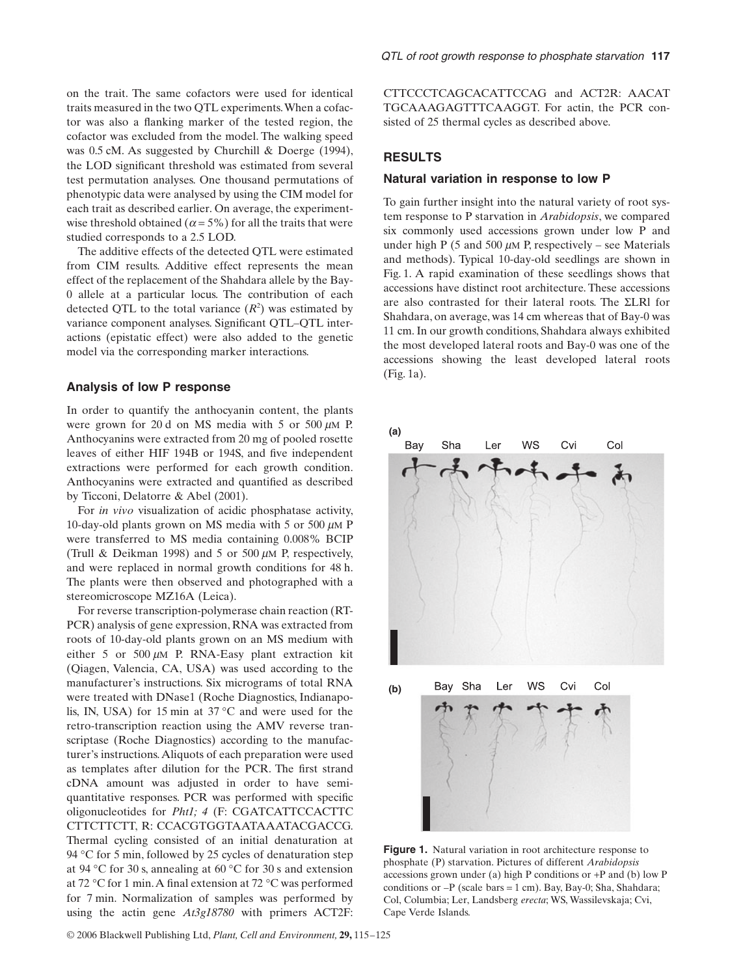on the trait. The same cofactors were used for identical traits measured in the two QTL experiments. When a cofactor was also a flanking marker of the tested region, the cofactor was excluded from the model. The walking speed was 0.5 cM. As suggested by Churchill & Doerge (1994), the LOD significant threshold was estimated from several test permutation analyses. One thousand permutations of phenotypic data were analysed by using the CIM model for each trait as described earlier. On average, the experimentwise threshold obtained ( $\alpha$  = 5%) for all the traits that were studied corresponds to a 2.5 LOD.

The additive effects of the detected QTL were estimated from CIM results. Additive effect represents the mean effect of the replacement of the Shahdara allele by the Bay-0 allele at a particular locus. The contribution of each detected QTL to the total variance  $(R^2)$  was estimated by variance component analyses. Significant QTL–QTL interactions (epistatic effect) were also added to the genetic model via the corresponding marker interactions.

#### **Analysis of low P response**

In order to quantify the anthocyanin content, the plants were grown for 20 d on MS media with 5 or 500  $\mu$ M P. Anthocyanins were extracted from 20 mg of pooled rosette leaves of either HIF 194B or 194S, and five independent extractions were performed for each growth condition. Anthocyanins were extracted and quantified as described by Ticconi, Delatorre & Abel (2001).

For *in vivo* visualization of acidic phosphatase activity, 10-day-old plants grown on MS media with 5 or 500  $\mu$ M P were transferred to MS media containing 0.008% BCIP (Trull & Deikman 1998) and 5 or 500  $\mu$ M P, respectively, and were replaced in normal growth conditions for 48 h. The plants were then observed and photographed with a stereomicroscope MZ16A (Leica).

For reverse transcription-polymerase chain reaction (RT-PCR) analysis of gene expression, RNA was extracted from roots of 10-day-old plants grown on an MS medium with either 5 or 500  $\mu$ M P. RNA-Easy plant extraction kit (Qiagen, Valencia, CA, USA) was used according to the manufacturer's instructions. Six micrograms of total RNA were treated with DNase1 (Roche Diagnostics, Indianapolis, IN, USA) for 15 min at 37 °C and were used for the retro-transcription reaction using the AMV reverse transcriptase (Roche Diagnostics) according to the manufacturer's instructions. Aliquots of each preparation were used as templates after dilution for the PCR. The first strand cDNA amount was adjusted in order to have semiquantitative responses. PCR was performed with specific oligonucleotides for *Pht1; 4* (F: CGATCATTCCACTTC CTTCTTCTT, R: CCACGTGGTAATAAATACGACCG. Thermal cycling consisted of an initial denaturation at 94 °C for 5 min, followed by 25 cycles of denaturation step at 94 °C for 30 s, annealing at 60 °C for 30 s and extension at 72 °C for 1 min. A final extension at 72 °C was performed for 7 min. Normalization of samples was performed by using the actin gene *At3g18780* with primers ACT2F: CTTCCCTCAGCACATTCCAG and ACT2R: AACAT TGCAAAGAGTTTCAAGGT. For actin, the PCR consisted of 25 thermal cycles as described above.

# **RESULTS**

#### **Natural variation in response to low P**

To gain further insight into the natural variety of root system response to P starvation in *Arabidopsis*, we compared six commonly used accessions grown under low P and under high P (5 and 500  $\mu$ M P, respectively – see Materials and methods). Typical 10-day-old seedlings are shown in Fig. 1. A rapid examination of these seedlings shows that accessions have distinct root architecture. These accessions are also contrasted for their lateral roots. The ΣLRl for Shahdara, on average, was 14 cm whereas that of Bay-0 was 11 cm. In our growth conditions, Shahdara always exhibited the most developed lateral roots and Bay-0 was one of the accessions showing the least developed lateral roots (Fig. 1a).



**Figure 1.** Natural variation in root architecture response to phosphate (P) starvation. Pictures of different *Arabidopsis* accessions grown under (a) high P conditions or +P and (b) low P conditions or –P (scale bars = 1 cm). Bay, Bay-0; Sha, Shahdara; Col, Columbia; Ler, Landsberg *erecta*; WS, Wassilevskaja; Cvi, Cape Verde Islands.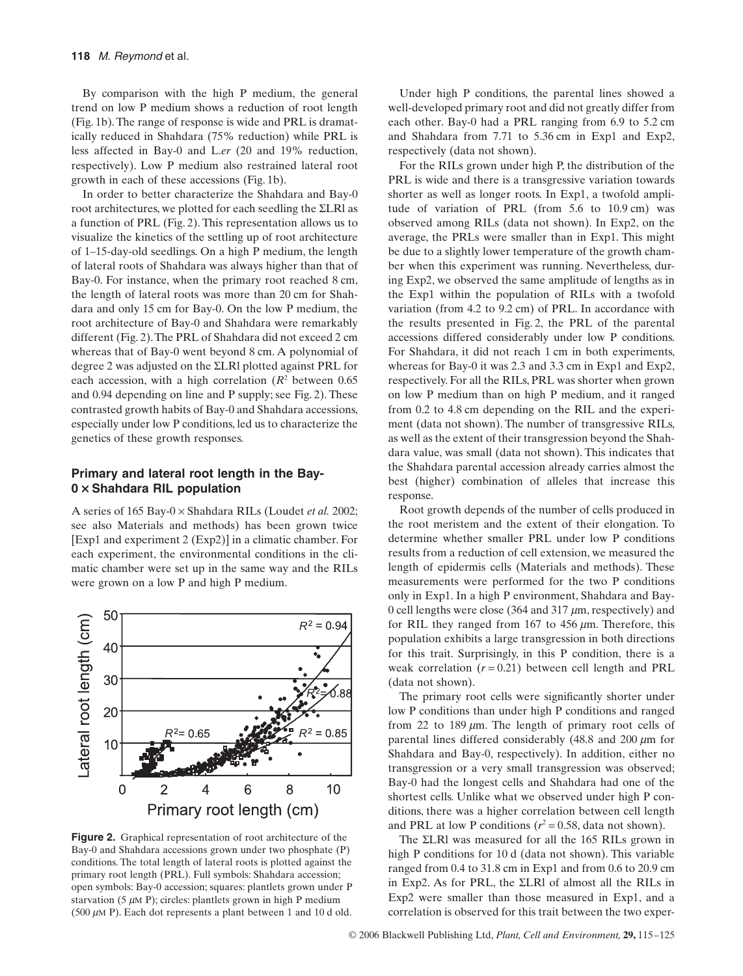By comparison with the high P medium, the general trend on low P medium shows a reduction of root length (Fig. 1b). The range of response is wide and PRL is dramatically reduced in Shahdara (75% reduction) while PRL is less affected in Bay-0 and L.*er* (20 and 19% reduction, respectively). Low P medium also restrained lateral root growth in each of these accessions (Fig. 1b).

In order to better characterize the Shahdara and Bay-0 root architectures, we plotted for each seedling the ΣLRl as a function of PRL (Fig. 2). This representation allows us to visualize the kinetics of the settling up of root architecture of 1–15-day-old seedlings. On a high P medium, the length of lateral roots of Shahdara was always higher than that of Bay-0. For instance, when the primary root reached 8 cm, the length of lateral roots was more than 20 cm for Shahdara and only 15 cm for Bay-0. On the low P medium, the root architecture of Bay-0 and Shahdara were remarkably different (Fig. 2). The PRL of Shahdara did not exceed 2 cm whereas that of Bay-0 went beyond 8 cm. A polynomial of degree 2 was adjusted on the ΣLRl plotted against PRL for each accession, with a high correlation  $(R^2)$  between 0.65 and 0.94 depending on line and P supply; see Fig. 2). These contrasted growth habits of Bay-0 and Shahdara accessions, especially under low P conditions, led us to characterize the genetics of these growth responses.

## **Primary and lateral root length in the Bay-0** × **Shahdara RIL population**

A series of 165 Bay-0 × Shahdara RILs (Loudet *et al.* 2002; see also Materials and methods) has been grown twice [Exp1 and experiment 2 (Exp2)] in a climatic chamber. For each experiment, the environmental conditions in the climatic chamber were set up in the same way and the RILs were grown on a low P and high P medium.



**Figure 2.** Graphical representation of root architecture of the Bay-0 and Shahdara accessions grown under two phosphate (P) conditions. The total length of lateral roots is plotted against the primary root length (PRL). Full symbols: Shahdara accession; open symbols: Bay-0 accession; squares: plantlets grown under P starvation (5  $\mu$ M P); circles: plantlets grown in high P medium (500  $\mu$ M P). Each dot represents a plant between 1 and 10 d old.

Under high P conditions, the parental lines showed a well-developed primary root and did not greatly differ from each other. Bay-0 had a PRL ranging from 6.9 to 5.2 cm and Shahdara from 7.71 to 5.36 cm in Exp1 and Exp2, respectively (data not shown).

For the RILs grown under high P, the distribution of the PRL is wide and there is a transgressive variation towards shorter as well as longer roots. In Exp1, a twofold amplitude of variation of PRL (from 5.6 to 10.9 cm) was observed among RILs (data not shown). In Exp2, on the average, the PRLs were smaller than in Exp1. This might be due to a slightly lower temperature of the growth chamber when this experiment was running. Nevertheless, during Exp2, we observed the same amplitude of lengths as in the Exp1 within the population of RILs with a twofold variation (from 4.2 to 9.2 cm) of PRL. In accordance with the results presented in Fig. 2, the PRL of the parental accessions differed considerably under low P conditions. For Shahdara, it did not reach 1 cm in both experiments, whereas for Bay-0 it was 2.3 and 3.3 cm in Exp1 and Exp2, respectively. For all the RILs, PRL was shorter when grown on low P medium than on high P medium, and it ranged from 0.2 to 4.8 cm depending on the RIL and the experiment (data not shown). The number of transgressive RILs, as well as the extent of their transgression beyond the Shahdara value, was small (data not shown). This indicates that the Shahdara parental accession already carries almost the best (higher) combination of alleles that increase this response.

Root growth depends of the number of cells produced in the root meristem and the extent of their elongation. To determine whether smaller PRL under low P conditions results from a reduction of cell extension, we measured the length of epidermis cells (Materials and methods). These measurements were performed for the two P conditions only in Exp1. In a high P environment, Shahdara and Bay-0 cell lengths were close (364 and 317  $\mu$ m, respectively) and for RIL they ranged from 167 to 456  $\mu$ m. Therefore, this population exhibits a large transgression in both directions for this trait. Surprisingly, in this P condition, there is a weak correlation  $(r = 0.21)$  between cell length and PRL (data not shown).

The primary root cells were significantly shorter under low P conditions than under high P conditions and ranged from 22 to 189  $\mu$ m. The length of primary root cells of parental lines differed considerably (48.8 and  $200 \ \mu m$  for Shahdara and Bay-0, respectively). In addition, either no transgression or a very small transgression was observed; Bay-0 had the longest cells and Shahdara had one of the shortest cells. Unlike what we observed under high P conditions, there was a higher correlation between cell length and PRL at low P conditions ( $r^2 = 0.58$ , data not shown).

The ΣLRl was measured for all the 165 RILs grown in high P conditions for 10 d (data not shown). This variable ranged from 0.4 to 31.8 cm in Exp1 and from 0.6 to 20.9 cm in Exp2. As for PRL, the ΣLRl of almost all the RILs in Exp2 were smaller than those measured in Exp1, and a correlation is observed for this trait between the two exper-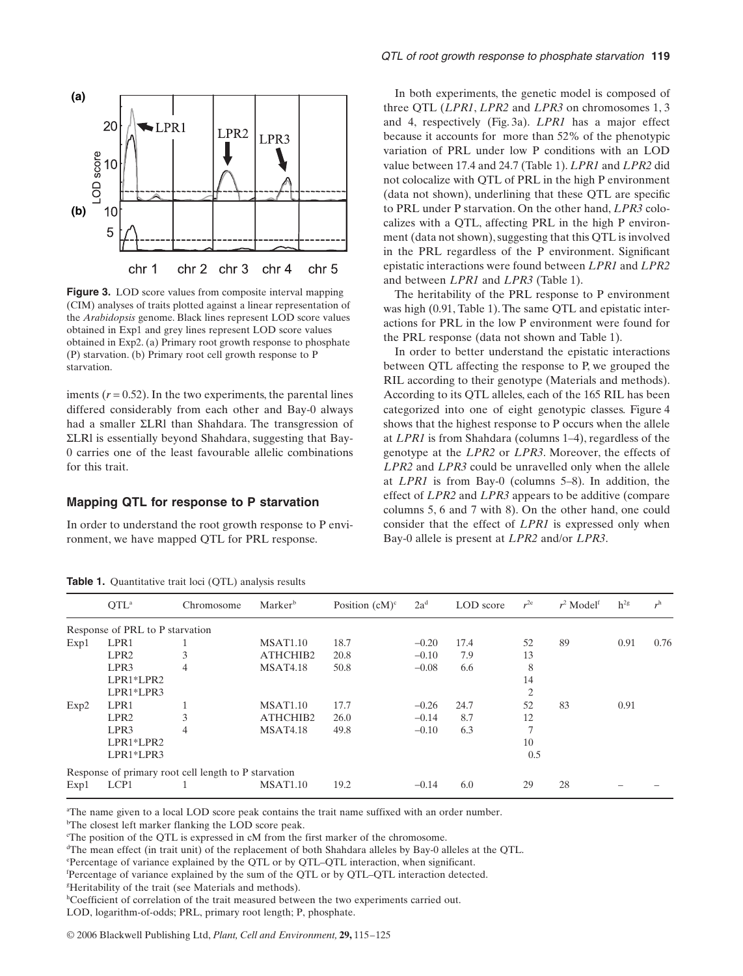

**Figure 3.** LOD score values from composite interval mapping (CIM) analyses of traits plotted against a linear representation of the *Arabidopsis* genome. Black lines represent LOD score values obtained in Exp1 and grey lines represent LOD score values obtained in Exp2. (a) Primary root growth response to phosphate (P) starvation. (b) Primary root cell growth response to P starvation.

iments  $(r = 0.52)$ . In the two experiments, the parental lines differed considerably from each other and Bay-0 always had a smaller ΣLRl than Shahdara. The transgression of ΣLRl is essentially beyond Shahdara, suggesting that Bay-0 carries one of the least favourable allelic combinations for this trait.

#### **Mapping QTL for response to P starvation**

**Table 1.** Quantitative trait loci (OTL) analysis results

In order to understand the root growth response to P environment, we have mapped QTL for PRL response.

In both experiments, the genetic model is composed of three QTL (*LPR1*, *LPR2* and *LPR3* on chromosomes 1, 3 and 4, respectively (Fig. 3a). *LPR1* has a major effect because it accounts for more than 52% of the phenotypic variation of PRL under low P conditions with an LOD value between 17.4 and 24.7 (Table 1). *LPR1* and *LPR2* did not colocalize with QTL of PRL in the high P environment (data not shown), underlining that these QTL are specific to PRL under P starvation. On the other hand, *LPR3* colocalizes with a QTL, affecting PRL in the high P environment (data not shown), suggesting that this QTL is involved in the PRL regardless of the P environment. Significant epistatic interactions were found between *LPR1* and *LPR2* and between *LPR1* and *LPR3* (Table 1).

The heritability of the PRL response to P environment was high (0.91, Table 1). The same QTL and epistatic interactions for PRL in the low P environment were found for the PRL response (data not shown and Table 1).

In order to better understand the epistatic interactions between QTL affecting the response to P, we grouped the RIL according to their genotype (Materials and methods). According to its QTL alleles, each of the 165 RIL has been categorized into one of eight genotypic classes. Figure 4 shows that the highest response to P occurs when the allele at *LPR1* is from Shahdara (columns 1–4), regardless of the genotype at the *LPR2* or *LPR3*. Moreover, the effects of *LPR2* and *LPR3* could be unravelled only when the allele at *LPR1* is from Bay-0 (columns 5–8). In addition, the effect of *LPR2* and *LPR3* appears to be additive (compare columns 5, 6 and 7 with 8). On the other hand, one could consider that the effect of *LPR1* is expressed only when Bay-0 allele is present at *LPR2* and/or *LPR3*.

|      | $\mathrm{OTL}^{\mathrm{a}}$     | Chromosome                                           | Marker <sup>b</sup> | Position $(cM)^c$ | $2a^d$  | LOD score | $r^{2e}$ | $r^2$ Model <sup>f</sup> | $h^{2g}$ | r <sup>h</sup> |
|------|---------------------------------|------------------------------------------------------|---------------------|-------------------|---------|-----------|----------|--------------------------|----------|----------------|
|      | Response of PRL to P starvation |                                                      |                     |                   |         |           |          |                          |          |                |
| Exp1 | LPR1                            |                                                      | <b>MSAT1.10</b>     | 18.7              | $-0.20$ | 17.4      | 52       | 89                       | 0.91     | 0.76           |
|      | LPR <sub>2</sub>                | 3                                                    | ATHCHIB2            | 20.8              | $-0.10$ | 7.9       | 13       |                          |          |                |
|      | LPR3                            | 4                                                    | <b>MSAT4.18</b>     | 50.8              | $-0.08$ | 6.6       | 8        |                          |          |                |
|      | LPR1*LPR2                       |                                                      |                     |                   |         |           | 14       |                          |          |                |
|      | LPR1*LPR3                       |                                                      |                     |                   |         |           | 2        |                          |          |                |
| Exp2 | LPR1                            |                                                      | <b>MSAT1.10</b>     | 17.7              | $-0.26$ | 24.7      | 52       | 83                       | 0.91     |                |
|      | LPR <sub>2</sub>                | 3                                                    | ATHCHIB2            | 26.0              | $-0.14$ | 8.7       | 12       |                          |          |                |
|      | LPR3                            | 4                                                    | <b>MSAT4.18</b>     | 49.8              | $-0.10$ | 6.3       | ⇁        |                          |          |                |
|      | LPR1*LPR2                       |                                                      |                     |                   |         |           | 10       |                          |          |                |
|      | LPR1*LPR3                       |                                                      |                     |                   |         |           | 0.5      |                          |          |                |
|      |                                 | Response of primary root cell length to P starvation |                     |                   |         |           |          |                          |          |                |
| Exp1 | LCP1                            |                                                      | <b>MSAT1.10</b>     | 19.2              | $-0.14$ | 6.0       | 29       | 28                       |          |                |

a The name given to a local LOD score peak contains the trait name suffixed with an order number.

<sup>b</sup>The closest left marker flanking the LOD score peak.

The position of the QTL is expressed in cM from the first marker of the chromosome.

d The mean effect (in trait unit) of the replacement of both Shahdara alleles by Bay-0 alleles at the QTL.

<sup>h</sup>Coefficient of correlation of the trait measured between the two experiments carried out.

e Percentage of variance explained by the QTL or by QTL–QTL interaction, when significant.

f Percentage of variance explained by the sum of the QTL or by QTL–QTL interaction detected.

g Heritability of the trait (see Materials and methods).

LOD, logarithm-of-odds; PRL, primary root length; P, phosphate.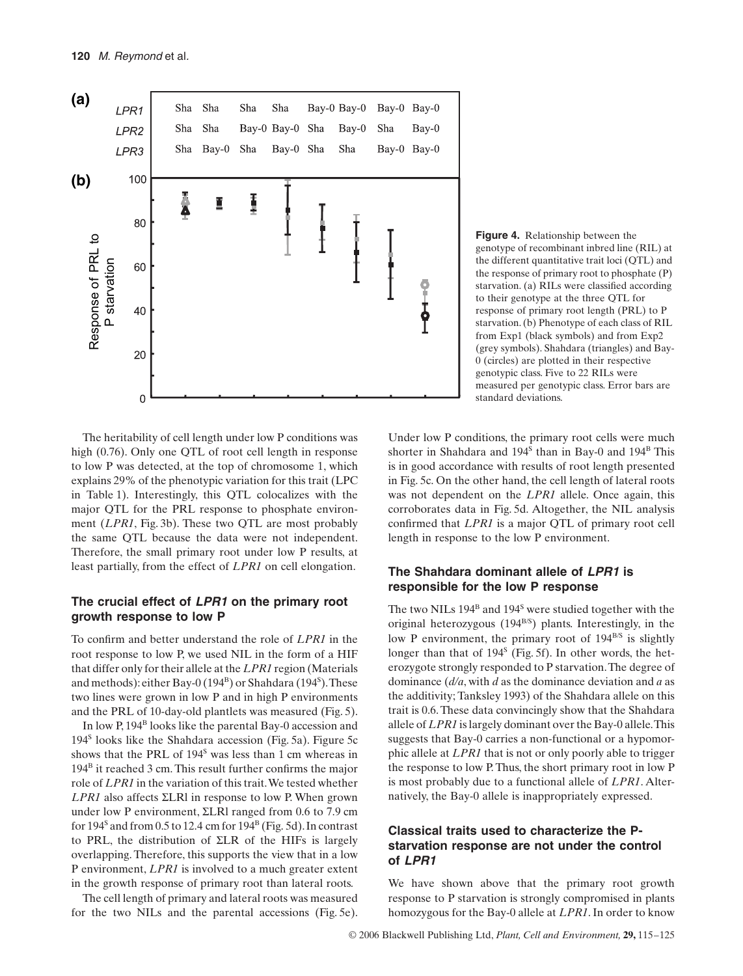

**Figure 4.** Relationship between the genotype of recombinant inbred line (RIL) at the different quantitative trait loci (QTL) and the response of primary root to phosphate (P) starvation. (a) RILs were classified according to their genotype at the three QTL for response of primary root length (PRL) to P starvation. (b) Phenotype of each class of RIL from Exp1 (black symbols) and from Exp2 (grey symbols). Shahdara (triangles) and Bay-0 (circles) are plotted in their respective genotypic class. Five to 22 RILs were measured per genotypic class. Error bars are standard deviations.

The heritability of cell length under low P conditions was high (0.76). Only one OTL of root cell length in response to low P was detected, at the top of chromosome 1, which explains 29% of the phenotypic variation for this trait (LPC in Table 1). Interestingly, this QTL colocalizes with the major QTL for the PRL response to phosphate environment (*LPR1*, Fig. 3b). These two QTL are most probably the same QTL because the data were not independent. Therefore, the small primary root under low P results, at least partially, from the effect of *LPR1* on cell elongation.

# **The crucial effect of** *LPR1* **on the primary root growth response to low P**

To confirm and better understand the role of *LPR1* in the root response to low P, we used NIL in the form of a HIF that differ only for their allele at the *LPR1* region (Materials and methods): either Bay-0 (194<sup>B</sup>) or Shahdara (194<sup>S</sup>). These two lines were grown in low P and in high P environments and the PRL of 10-day-old plantlets was measured (Fig. 5).

In low P, 194<sup>B</sup> looks like the parental Bay-0 accession and 194<sup>S</sup> looks like the Shahdara accession (Fig. 5a). Figure 5c shows that the PRL of  $194<sup>s</sup>$  was less than 1 cm whereas in 194B it reached 3 cm. This result further confirms the major role of *LPR1* in the variation of this trait. We tested whether *LPR1* also affects ΣLRl in response to low P. When grown under low P environment, ΣLRl ranged from 0.6 to 7.9 cm for  $194<sup>S</sup>$  and from 0.5 to 12.4 cm for  $194<sup>B</sup>$  (Fig. 5d). In contrast to PRL, the distribution of ΣLR of the HIFs is largely overlapping. Therefore, this supports the view that in a low P environment, *LPR1* is involved to a much greater extent in the growth response of primary root than lateral roots.

The cell length of primary and lateral roots was measured for the two NILs and the parental accessions (Fig. 5e).

Under low P conditions, the primary root cells were much shorter in Shahdara and  $194<sup>S</sup>$  than in Bay-0 and  $194<sup>B</sup>$  This is in good accordance with results of root length presented in Fig. 5c. On the other hand, the cell length of lateral roots was not dependent on the *LPR1* allele. Once again, this corroborates data in Fig. 5d. Altogether, the NIL analysis confirmed that *LPR1* is a major QTL of primary root cell length in response to the low P environment.

# **The Shahdara dominant allele of** *LPR1* **is responsible for the low P response**

The two NILs 194<sup>B</sup> and 194<sup>S</sup> were studied together with the original heterozygous (194<sup>B/S</sup>) plants. Interestingly, in the low P environment, the primary root of  $194^{B/S}$  is slightly longer than that of 194<sup>s</sup> (Fig. 5f). In other words, the heterozygote strongly responded to P starvation. The degree of dominance (*d/a*, with *d* as the dominance deviation and *a* as the additivity; Tanksley 1993) of the Shahdara allele on this trait is 0.6. These data convincingly show that the Shahdara allele of *LPR1* is largely dominant over the Bay-0 allele. This suggests that Bay-0 carries a non-functional or a hypomorphic allele at *LPR1* that is not or only poorly able to trigger the response to low P. Thus, the short primary root in low P is most probably due to a functional allele of *LPR1*. Alternatively, the Bay-0 allele is inappropriately expressed.

# **Classical traits used to characterize the Pstarvation response are not under the control of** *LPR1*

We have shown above that the primary root growth response to P starvation is strongly compromised in plants homozygous for the Bay-0 allele at *LPR1*. In order to know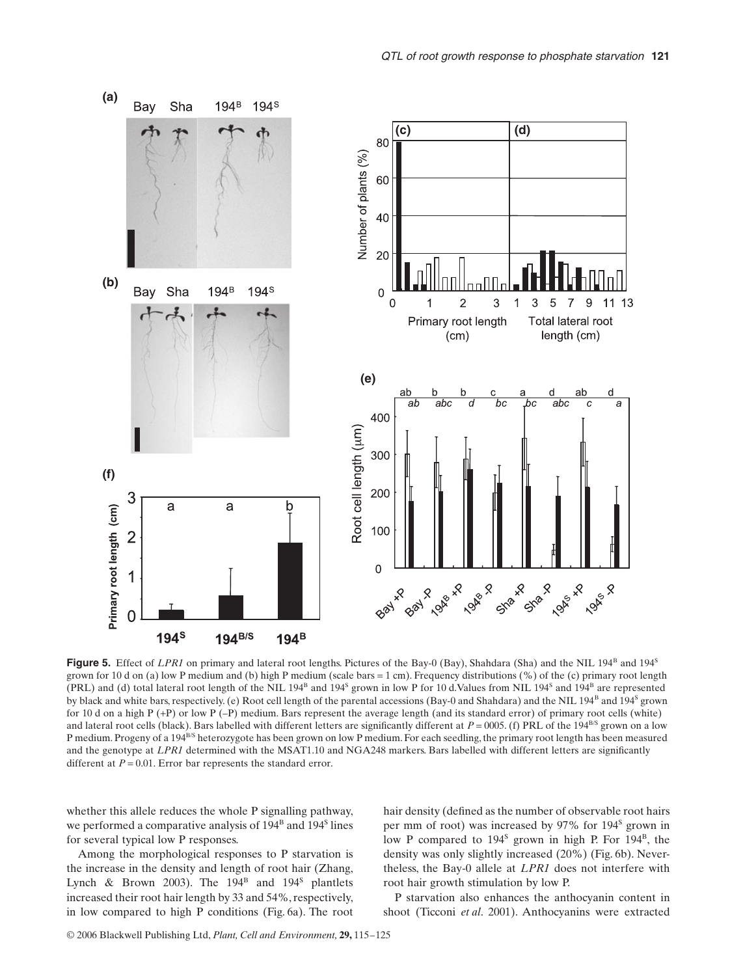

**Figure 5.** Effect of *LPR1* on primary and lateral root lengths. Pictures of the Bay-0 (Bay), Shahdara (Sha) and the NIL 194<sup>B</sup> and 194<sup>S</sup> grown for 10 d on (a) low P medium and (b) high P medium (scale bars = 1 cm). Frequency distributions (%) of the (c) primary root length (PRL) and (d) total lateral root length of the NIL 194<sup>B</sup> and 194<sup>S</sup> grown in low P for 10 d.Values from NIL 194<sup>S</sup> and 194<sup>B</sup> are represented by black and white bars, respectively. (e) Root cell length of the parental accessions (Bay-0 and Shahdara) and the NIL 194<sup>B</sup> and 194<sup>S</sup> grown for 10 d on a high P (+P) or low P (–P) medium. Bars represent the average length (and its standard error) of primary root cells (white) and lateral root cells (black). Bars labelled with different letters are significantly different at  $P = 0005$ . (f) PRL of the 194<sup>B/S</sup> grown on a low P medium. Progeny of a 194<sup>B/S</sup> heterozygote has been grown on low P medium. For each seedling, the primary root length has been measured and the genotype at *LPR1* determined with the MSAT1.10 and NGA248 markers. Bars labelled with different letters are significantly different at  $P = 0.01$ . Error bar represents the standard error.

whether this allele reduces the whole P signalling pathway, we performed a comparative analysis of  $194<sup>B</sup>$  and  $194<sup>S</sup>$  lines for several typical low P responses.

Among the morphological responses to P starvation is the increase in the density and length of root hair (Zhang, Lynch & Brown 2003). The  $194^B$  and  $194^S$  plantlets increased their root hair length by 33 and 54%, respectively, in low compared to high P conditions (Fig. 6a). The root hair density (defined as the number of observable root hairs per mm of root) was increased by 97% for 194<sup>S</sup> grown in low P compared to 194<sup>S</sup> grown in high P. For 194<sup>B</sup>, the density was only slightly increased (20%) (Fig. 6b). Nevertheless, the Bay-0 allele at *LPR1* does not interfere with root hair growth stimulation by low P.

P starvation also enhances the anthocyanin content in shoot (Ticconi *et al*. 2001). Anthocyanins were extracted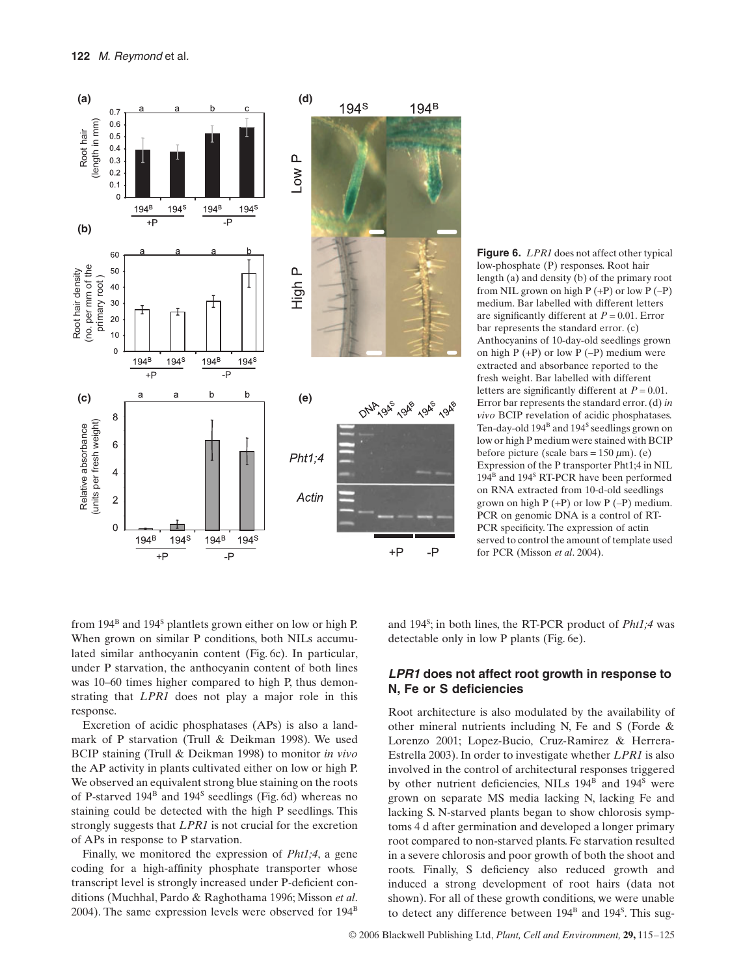

**Figure 6.** *LPR1* does not affect other typical low-phosphate (P) responses. Root hair length (a) and density (b) of the primary root from NIL grown on high  $P (+P)$  or low  $P (-P)$ medium. Bar labelled with different letters are significantly different at *P* = 0.01. Error bar represents the standard error. (c) Anthocyanins of 10-day-old seedlings grown on high  $P (+P)$  or low  $P (-P)$  medium were extracted and absorbance reported to the fresh weight. Bar labelled with different letters are significantly different at  $P = 0.01$ . Error bar represents the standard error. (d) *in vivo* BCIP revelation of acidic phosphatases. Ten-day-old 194<sup>B</sup> and 194<sup>S</sup> seedlings grown on low or high P medium were stained with BCIP before picture (scale bars =  $150 \mu m$ ). (e) Expression of the P transporter Pht1;4 in NIL 194<sup>B</sup> and 194<sup>S</sup> RT-PCR have been performed on RNA extracted from 10-d-old seedlings grown on high  $P (+P)$  or low  $P (-P)$  medium. PCR on genomic DNA is a control of RT-PCR specificity. The expression of actin served to control the amount of template used for PCR (Misson *et al*. 2004).

from 194<sup>B</sup> and 194<sup>S</sup> plantlets grown either on low or high P. When grown on similar P conditions, both NILs accumulated similar anthocyanin content (Fig. 6c). In particular, under P starvation, the anthocyanin content of both lines was 10–60 times higher compared to high P, thus demonstrating that *LPR1* does not play a major role in this response.

Excretion of acidic phosphatases (APs) is also a landmark of P starvation (Trull & Deikman 1998). We used BCIP staining (Trull & Deikman 1998) to monitor *in vivo* the AP activity in plants cultivated either on low or high P. We observed an equivalent strong blue staining on the roots of P-starved  $194^B$  and  $194^S$  seedlings (Fig. 6d) whereas no staining could be detected with the high P seedlings. This strongly suggests that *LPR1* is not crucial for the excretion of APs in response to P starvation.

Finally, we monitored the expression of *Pht1;4*, a gene coding for a high-affinity phosphate transporter whose transcript level is strongly increased under P-deficient conditions (Muchhal, Pardo & Raghothama 1996; Misson *et al*. 2004). The same expression levels were observed for  $194<sup>B</sup>$ 

and 194S ; in both lines, the RT-PCR product of *Pht1;4* was detectable only in low P plants (Fig. 6e).

## *LPR1* **does not affect root growth in response to N, Fe or S deficiencies**

Root architecture is also modulated by the availability of other mineral nutrients including N, Fe and S (Forde & Lorenzo 2001; Lopez-Bucio, Cruz-Ramirez & Herrera-Estrella 2003). In order to investigate whether *LPR1* is also involved in the control of architectural responses triggered by other nutrient deficiencies, NILs 194<sup>B</sup> and 194<sup>S</sup> were grown on separate MS media lacking N, lacking Fe and lacking S. N-starved plants began to show chlorosis symptoms 4 d after germination and developed a longer primary root compared to non-starved plants. Fe starvation resulted in a severe chlorosis and poor growth of both the shoot and roots. Finally, S deficiency also reduced growth and induced a strong development of root hairs (data not shown). For all of these growth conditions, we were unable to detect any difference between 194<sup>B</sup> and 194<sup>S</sup>. This sug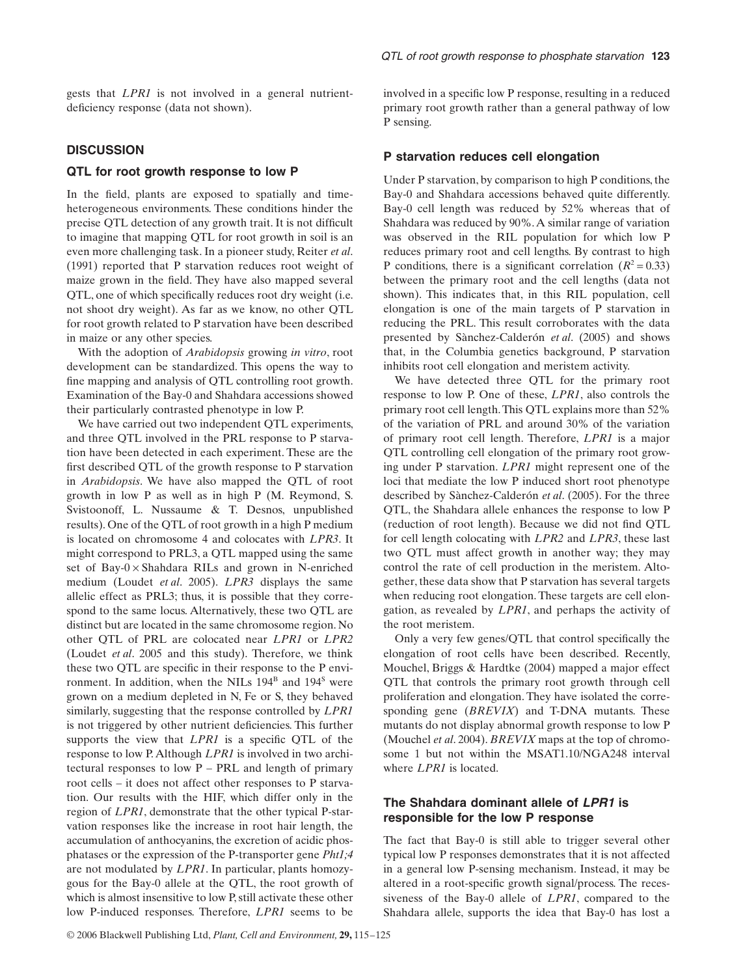gests that *LPR1* is not involved in a general nutrientdeficiency response (data not shown).

#### **DISCUSSION**

#### **QTL for root growth response to low P**

In the field, plants are exposed to spatially and timeheterogeneous environments. These conditions hinder the precise QTL detection of any growth trait. It is not difficult to imagine that mapping QTL for root growth in soil is an even more challenging task. In a pioneer study, Reiter *et al*. (1991) reported that P starvation reduces root weight of maize grown in the field. They have also mapped several QTL, one of which specifically reduces root dry weight (i.e. not shoot dry weight). As far as we know, no other QTL for root growth related to P starvation have been described in maize or any other species.

With the adoption of *Arabidopsis* growing *in vitro*, root development can be standardized. This opens the way to fine mapping and analysis of QTL controlling root growth. Examination of the Bay-0 and Shahdara accessions showed their particularly contrasted phenotype in low P.

We have carried out two independent QTL experiments, and three QTL involved in the PRL response to P starvation have been detected in each experiment. These are the first described QTL of the growth response to P starvation in *Arabidopsis*. We have also mapped the QTL of root growth in low P as well as in high P (M. Reymond, S. Svistoonoff, L. Nussaume & T. Desnos, unpublished results). One of the QTL of root growth in a high P medium is located on chromosome 4 and colocates with *LPR3*. It might correspond to PRL3, a QTL mapped using the same set of Bay- $0 \times$ Shahdara RILs and grown in N-enriched medium (Loudet *et al*. 2005). *LPR3* displays the same allelic effect as PRL3; thus, it is possible that they correspond to the same locus. Alternatively, these two QTL are distinct but are located in the same chromosome region. No other QTL of PRL are colocated near *LPR1* or *LPR2* (Loudet *et al*. 2005 and this study). Therefore, we think these two QTL are specific in their response to the P environment. In addition, when the NILs  $194<sup>B</sup>$  and  $194<sup>S</sup>$  were grown on a medium depleted in N, Fe or S, they behaved similarly, suggesting that the response controlled by *LPR1* is not triggered by other nutrient deficiencies. This further supports the view that *LPR1* is a specific QTL of the response to low P. Although *LPR1* is involved in two architectural responses to low P – PRL and length of primary root cells – it does not affect other responses to P starvation. Our results with the HIF, which differ only in the region of *LPR1*, demonstrate that the other typical P-starvation responses like the increase in root hair length, the accumulation of anthocyanins, the excretion of acidic phosphatases or the expression of the P-transporter gene *Pht1;4* are not modulated by *LPR1*. In particular, plants homozygous for the Bay-0 allele at the QTL, the root growth of which is almost insensitive to low P, still activate these other low P-induced responses. Therefore, *LPR1* seems to be involved in a specific low P response, resulting in a reduced primary root growth rather than a general pathway of low P sensing.

#### **P starvation reduces cell elongation**

Under P starvation, by comparison to high P conditions, the Bay-0 and Shahdara accessions behaved quite differently. Bay-0 cell length was reduced by 52% whereas that of Shahdara was reduced by 90%. A similar range of variation was observed in the RIL population for which low P reduces primary root and cell lengths. By contrast to high P conditions, there is a significant correlation  $(R^2 = 0.33)$ between the primary root and the cell lengths (data not shown). This indicates that, in this RIL population, cell elongation is one of the main targets of P starvation in reducing the PRL. This result corroborates with the data presented by Sànchez-Calderón *et al*. (2005) and shows that, in the Columbia genetics background, P starvation inhibits root cell elongation and meristem activity.

We have detected three QTL for the primary root response to low P. One of these, *LPR1*, also controls the primary root cell length. This QTL explains more than 52% of the variation of PRL and around 30% of the variation of primary root cell length. Therefore, *LPR1* is a major QTL controlling cell elongation of the primary root growing under P starvation. *LPR1* might represent one of the loci that mediate the low P induced short root phenotype described by Sànchez-Calderón *et al*. (2005). For the three QTL, the Shahdara allele enhances the response to low P (reduction of root length). Because we did not find QTL for cell length colocating with *LPR2* and *LPR3*, these last two QTL must affect growth in another way; they may control the rate of cell production in the meristem. Altogether, these data show that P starvation has several targets when reducing root elongation. These targets are cell elongation, as revealed by *LPR1*, and perhaps the activity of the root meristem.

Only a very few genes/QTL that control specifically the elongation of root cells have been described. Recently, Mouchel, Briggs & Hardtke (2004) mapped a major effect QTL that controls the primary root growth through cell proliferation and elongation. They have isolated the corresponding gene (*BREVIX*) and T-DNA mutants. These mutants do not display abnormal growth response to low P (Mouchel *et al*. 2004). *BREVIX* maps at the top of chromosome 1 but not within the MSAT1.10/NGA248 interval where *LPR1* is located.

## **The Shahdara dominant allele of** *LPR1* **is responsible for the low P response**

The fact that Bay-0 is still able to trigger several other typical low P responses demonstrates that it is not affected in a general low P-sensing mechanism. Instead, it may be altered in a root-specific growth signal/process. The recessiveness of the Bay-0 allele of *LPR1*, compared to the Shahdara allele, supports the idea that Bay-0 has lost a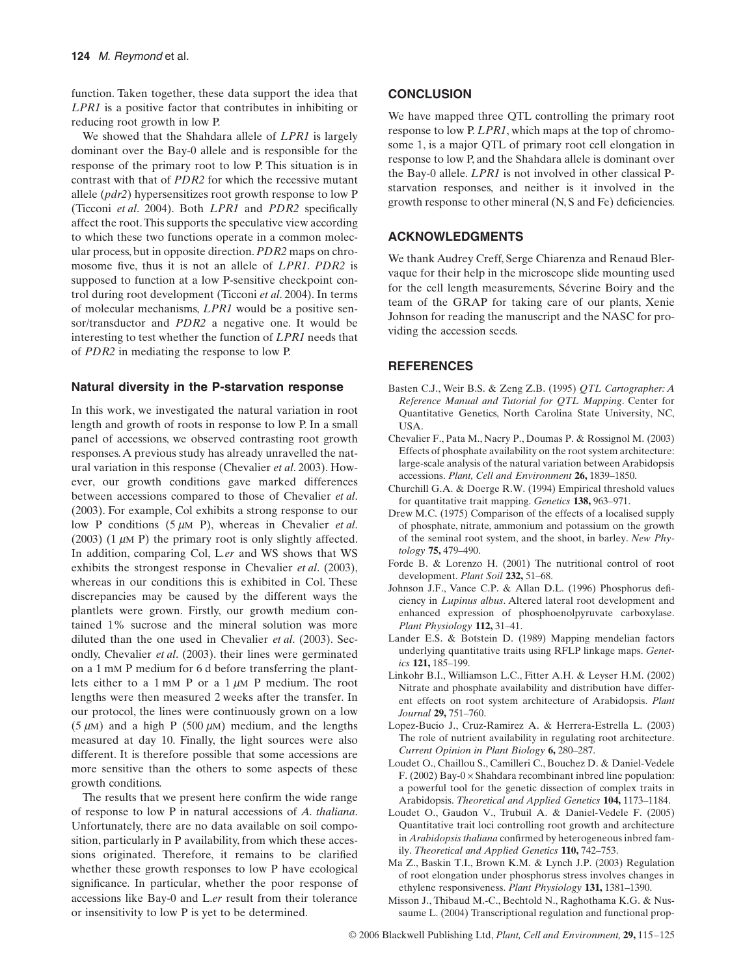function. Taken together, these data support the idea that *LPR1* is a positive factor that contributes in inhibiting or reducing root growth in low P.

We showed that the Shahdara allele of *LPR1* is largely dominant over the Bay-0 allele and is responsible for the response of the primary root to low P. This situation is in contrast with that of *PDR2* for which the recessive mutant allele (*pdr2*) hypersensitizes root growth response to low P (Ticconi *et al*. 2004). Both *LPR1* and *PDR2* specifically affect the root. This supports the speculative view according to which these two functions operate in a common molecular process, but in opposite direction. *PDR2* maps on chromosome five, thus it is not an allele of *LPR1*. *PDR2* is supposed to function at a low P-sensitive checkpoint control during root development (Ticconi *et al*. 2004). In terms of molecular mechanisms, *LPR1* would be a positive sensor/transductor and *PDR2* a negative one. It would be interesting to test whether the function of *LPR1* needs that of *PDR2* in mediating the response to low P.

#### **Natural diversity in the P-starvation response**

In this work, we investigated the natural variation in root length and growth of roots in response to low P. In a small panel of accessions, we observed contrasting root growth responses. A previous study has already unravelled the natural variation in this response (Chevalier *et al*. 2003). However, our growth conditions gave marked differences between accessions compared to those of Chevalier *et al*. (2003). For example, Col exhibits a strong response to our low P conditions (5 µM P), whereas in Chevalier *et al*. (2003) (1  $\mu$ M P) the primary root is only slightly affected. In addition, comparing Col, L*.er* and WS shows that WS exhibits the strongest response in Chevalier *et al*. (2003), whereas in our conditions this is exhibited in Col. These discrepancies may be caused by the different ways the plantlets were grown. Firstly, our growth medium contained 1% sucrose and the mineral solution was more diluted than the one used in Chevalier *et al*. (2003). Secondly, Chevalier *et al*. (2003). their lines were germinated on a 1 mM P medium for 6 d before transferring the plantlets either to a 1 mM P or a  $1 \mu$ M P medium. The root lengths were then measured 2 weeks after the transfer. In our protocol, the lines were continuously grown on a low (5  $\mu$ M) and a high P (500  $\mu$ M) medium, and the lengths measured at day 10. Finally, the light sources were also different. It is therefore possible that some accessions are more sensitive than the others to some aspects of these growth conditions.

The results that we present here confirm the wide range of response to low P in natural accessions of *A. thaliana*. Unfortunately, there are no data available on soil composition, particularly in P availability, from which these accessions originated. Therefore, it remains to be clarified whether these growth responses to low P have ecological significance. In particular, whether the poor response of accessions like Bay-0 and L.*er* result from their tolerance or insensitivity to low P is yet to be determined.

## **CONCLUSION**

We have mapped three QTL controlling the primary root response to low P. *LPR1*, which maps at the top of chromosome 1, is a major QTL of primary root cell elongation in response to low P, and the Shahdara allele is dominant over the Bay-0 allele. *LPR1* is not involved in other classical Pstarvation responses, and neither is it involved in the growth response to other mineral (N, S and Fe) deficiencies.

# **ACKNOWLEDGMENTS**

We thank Audrey Creff, Serge Chiarenza and Renaud Blervaque for their help in the microscope slide mounting used for the cell length measurements, Séverine Boiry and the team of the GRAP for taking care of our plants, Xenie Johnson for reading the manuscript and the NASC for providing the accession seeds.

# **REFERENCES**

- Basten C.J., Weir B.S. & Zeng Z.B. (1995) *QTL Cartographer: A Reference Manual and Tutorial for QTL Mapping*. Center for Quantitative Genetics, North Carolina State University, NC, USA.
- Chevalier F., Pata M., Nacry P., Doumas P. & Rossignol M. (2003) Effects of phosphate availability on the root system architecture: large-scale analysis of the natural variation between Arabidopsis accessions. *Plant, Cell and Environment* **26,** 1839–1850.
- Churchill G.A. & Doerge R.W. (1994) Empirical threshold values for quantitative trait mapping. *Genetics* **138,** 963–971.
- Drew M.C. (1975) Comparison of the effects of a localised supply of phosphate, nitrate, ammonium and potassium on the growth of the seminal root system, and the shoot, in barley. *New Phytology* **75,** 479–490.
- Forde B. & Lorenzo H. (2001) The nutritional control of root development. *Plant Soil* **232,** 51–68.
- Johnson J.F., Vance C.P. & Allan D.L. (1996) Phosphorus deficiency in *Lupinus albus*. Altered lateral root development and enhanced expression of phosphoenolpyruvate carboxylase. *Plant Physiology* **112,** 31–41.
- Lander E.S. & Botstein D. (1989) Mapping mendelian factors underlying quantitative traits using RFLP linkage maps. *Genetics* **121,** 185–199.
- Linkohr B.I., Williamson L.C., Fitter A.H. & Leyser H.M. (2002) Nitrate and phosphate availability and distribution have different effects on root system architecture of Arabidopsis. *Plant Journal* **29,** 751–760.
- Lopez-Bucio J., Cruz-Ramirez A. & Herrera-Estrella L. (2003) The role of nutrient availability in regulating root architecture. *Current Opinion in Plant Biology* **6,** 280–287.
- Loudet O., Chaillou S., Camilleri C., Bouchez D. & Daniel-Vedele F. (2002) Bay-0  $\times$  Shahdara recombinant inbred line population: a powerful tool for the genetic dissection of complex traits in Arabidopsis. *Theoretical and Applied Genetics* **104,** 1173–1184.
- Loudet O., Gaudon V., Trubuil A. & Daniel-Vedele F. (2005) Quantitative trait loci controlling root growth and architecture in *Arabidopsis thaliana* confirmed by heterogeneous inbred family. *Theoretical and Applied Genetics* **110,** 742–753.
- Ma Z., Baskin T.I., Brown K.M. & Lynch J.P. (2003) Regulation of root elongation under phosphorus stress involves changes in ethylene responsiveness. *Plant Physiology* **131,** 1381–1390.
- Misson J., Thibaud M.-C., Bechtold N., Raghothama K.G. & Nussaume L. (2004) Transcriptional regulation and functional prop-